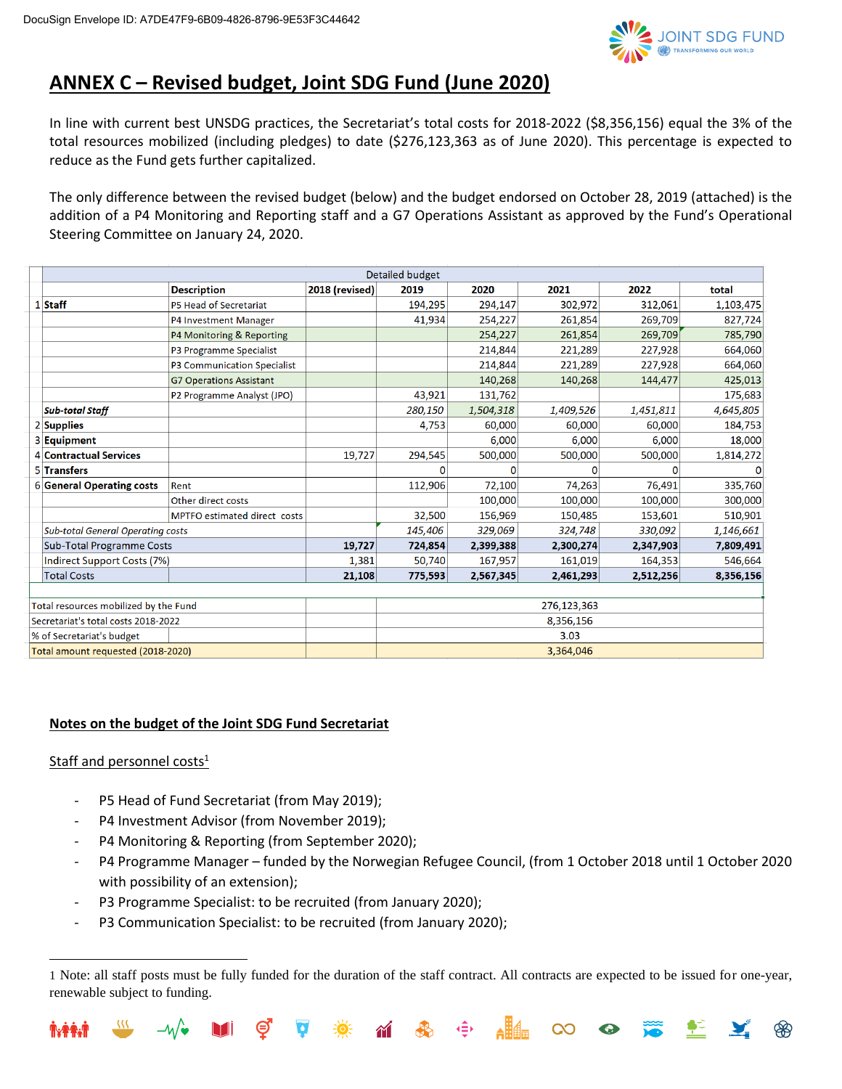

# **ANNEX C – Revised budget, Joint SDG Fund (June 2020)**

In line with current best UNSDG practices, the Secretariat's total costs for 2018-2022 (\$8,356,156) equal the 3% of the total resources mobilized (including pledges) to date (\$276,123,363 as of June 2020). This percentage is expected to reduce as the Fund gets further capitalized.

The only difference between the revised budget (below) and the budget endorsed on October 28, 2019 (attached) is the addition of a P4 Monitoring and Reporting staff and a G7 Operations Assistant as approved by the Fund's Operational Steering Committee on January 24, 2020.

|  |                                                                                                             | Detailed budget                |                |         |           |             |           |           |
|--|-------------------------------------------------------------------------------------------------------------|--------------------------------|----------------|---------|-----------|-------------|-----------|-----------|
|  |                                                                                                             | <b>Description</b>             | 2018 (revised) | 2019    | 2020      | 2021        | 2022      | total     |
|  | $1$ Staff                                                                                                   | P5 Head of Secretariat         |                | 194,295 | 294,147   | 302,972     | 312,061   | 1,103,475 |
|  |                                                                                                             | P4 Investment Manager          |                | 41,934  | 254,227   | 261,854     | 269,709   | 827,724   |
|  |                                                                                                             | P4 Monitoring & Reporting      |                |         | 254,227   | 261,854     | 269,709   | 785,790   |
|  |                                                                                                             | P3 Programme Specialist        |                |         | 214,844   | 221,289     | 227,928   | 664,060   |
|  |                                                                                                             | P3 Communication Specialist    |                |         | 214,844   | 221,289     | 227,928   | 664,060   |
|  |                                                                                                             | <b>G7 Operations Assistant</b> |                |         | 140,268   | 140,268     | 144,477   | 425,013   |
|  |                                                                                                             | P2 Programme Analyst (JPO)     |                | 43,921  | 131,762   |             |           | 175,683   |
|  | <b>Sub-total Staff</b>                                                                                      |                                |                | 280,150 | 1,504,318 | 1,409,526   | 1,451,811 | 4,645,805 |
|  | $2$ Supplies                                                                                                |                                |                | 4,753   | 60,000    | 60,000      | 60,000    | 184,753   |
|  | 3 Equipment                                                                                                 |                                |                |         | 6,000     | 6,000       | 6,000     | 18,000    |
|  | 4 Contractual Services                                                                                      |                                | 19,727         | 294,545 | 500,000   | 500,000     | 500,000   | 1,814,272 |
|  | 5 Transfers                                                                                                 |                                |                | 0       |           |             |           | $\Omega$  |
|  | 6 General Operating costs                                                                                   | Rent                           |                | 112,906 | 72,100    | 74,263      | 76,491    | 335,760   |
|  |                                                                                                             | Other direct costs             |                |         | 100,000   | 100,000     | 100,000   | 300,000   |
|  |                                                                                                             | MPTFO estimated direct costs   |                | 32,500  | 156,969   | 150,485     | 153,601   | 510,901   |
|  | <b>Sub-total General Operating costs</b><br><b>Sub-Total Programme Costs</b><br>Indirect Support Costs (7%) |                                |                | 145,406 | 329,069   | 324,748     | 330,092   | 1,146,661 |
|  |                                                                                                             |                                | 19,727         | 724,854 | 2,399,388 | 2,300,274   | 2,347,903 | 7,809,491 |
|  |                                                                                                             |                                | 1,381          | 50,740  | 167,957   | 161,019     | 164,353   | 546,664   |
|  | <b>Total Costs</b>                                                                                          |                                | 21,108         | 775,593 | 2,567,345 | 2,461,293   | 2,512,256 | 8,356,156 |
|  |                                                                                                             |                                |                |         |           |             |           |           |
|  | Total resources mobilized by the Fund                                                                       |                                |                |         |           | 276,123,363 |           |           |
|  | Secretariat's total costs 2018-2022                                                                         |                                |                |         |           | 8356156     |           |           |

| Secretariat's total costs 2018-2022 | 8.356.156 |
|-------------------------------------|-----------|
| % of Secretariat's budget           | 3.03      |
| Total amount requested (2018-2020)  | 3.364.046 |

#### **Notes on the budget of the Joint SDG Fund Secretariat**

#### Staff and personnel costs $1$

- P5 Head of Fund Secretariat (from May 2019);
- P4 Investment Advisor (from November 2019);
- P4 Monitoring & Reporting (from September 2020);
- P4 Programme Manager funded by the Norwegian Refugee Council, (from 1 October 2018 until 1 October 2020 with possibility of an extension);
- P3 Programme Specialist: to be recruited (from January 2020);
- P3 Communication Specialist: to be recruited (from January 2020);

∢≘≻

**CO** 

 $\bullet$ 

 $\sim$ 

<sup>1</sup> Note: all staff posts must be fully funded for the duration of the staff contract. All contracts are expected to be issued for one-year, renewable subject to funding.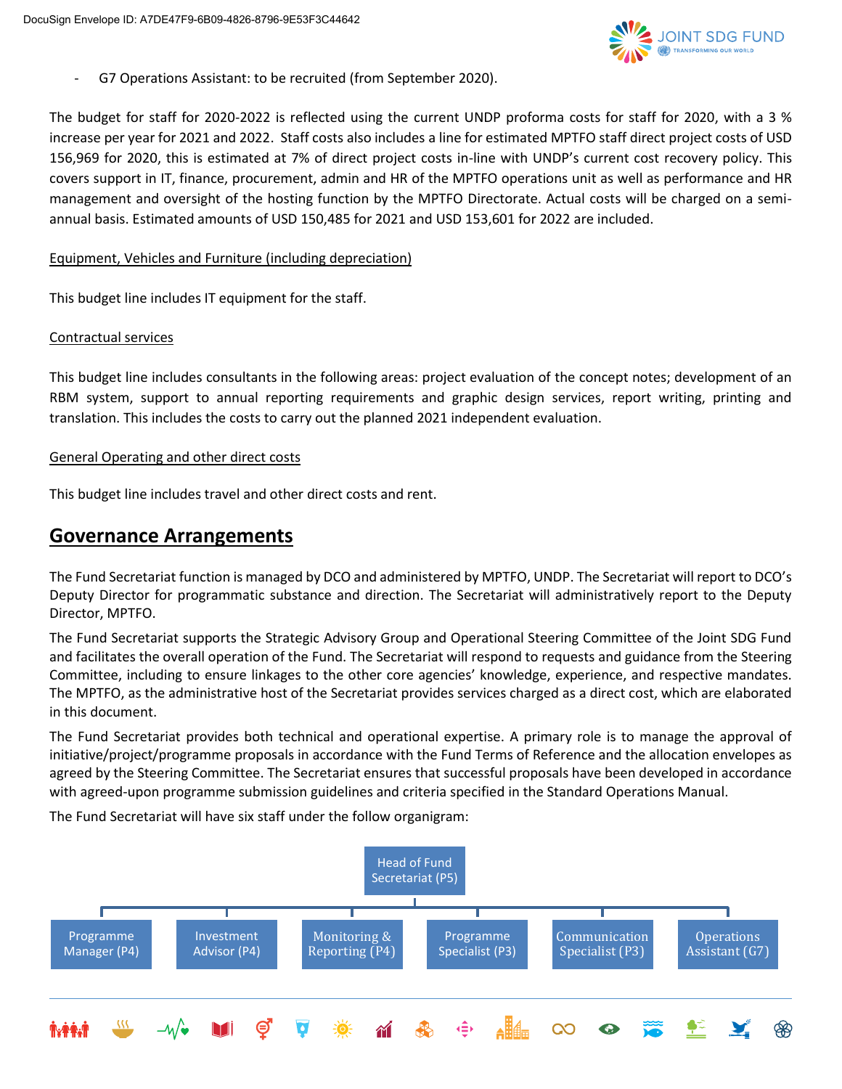

- G7 Operations Assistant: to be recruited (from September 2020).

The budget for staff for 2020-2022 is reflected using the current UNDP proforma costs for staff for 2020, with a 3 % increase per year for 2021 and 2022. Staff costs also includes a line for estimated MPTFO staff direct project costs of USD 156,969 for 2020, this is estimated at 7% of direct project costs in-line with UNDP's current cost recovery policy. This covers support in IT, finance, procurement, admin and HR of the MPTFO operations unit as well as performance and HR management and oversight of the hosting function by the MPTFO Directorate. Actual costs will be charged on a semiannual basis. Estimated amounts of USD 150,485 for 2021 and USD 153,601 for 2022 are included.

#### Equipment, Vehicles and Furniture (including depreciation)

This budget line includes IT equipment for the staff.

#### Contractual services

This budget line includes consultants in the following areas: project evaluation of the concept notes; development of an RBM system, support to annual reporting requirements and graphic design services, report writing, printing and translation. This includes the costs to carry out the planned 2021 independent evaluation.

#### General Operating and other direct costs

This budget line includes travel and other direct costs and rent.

## **Governance Arrangements**

The Fund Secretariat function is managed by DCO and administered by MPTFO, UNDP. The Secretariat will report to DCO's Deputy Director for programmatic substance and direction. The Secretariat will administratively report to the Deputy Director, MPTFO.

The Fund Secretariat supports the Strategic Advisory Group and Operational Steering Committee of the Joint SDG Fund and facilitates the overall operation of the Fund. The Secretariat will respond to requests and guidance from the Steering Committee, including to ensure linkages to the other core agencies' knowledge, experience, and respective mandates. The MPTFO, as the administrative host of the Secretariat provides services charged as a direct cost, which are elaborated in this document.

The Fund Secretariat provides both technical and operational expertise. A primary role is to manage the approval of initiative/project/programme proposals in accordance with the Fund Terms of Reference and the allocation envelopes as agreed by the Steering Committee. The Secretariat ensures that successful proposals have been developed in accordance with agreed-upon programme submission guidelines and criteria specified in the Standard Operations Manual.

The Fund Secretariat will have six staff under the follow organigram: